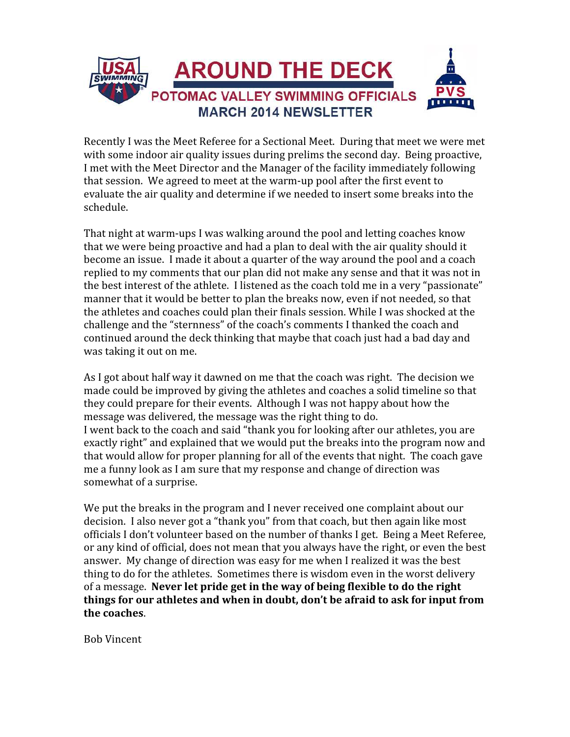

Recently I was the Meet Referee for a Sectional Meet. During that meet we were met with some indoor air quality issues during prelims the second day. Being proactive, I met with the Meet Director and the Manager of the facility immediately following that session. We agreed to meet at the warm-up pool after the first event to evaluate the air quality and determine if we needed to insert some breaks into the schedule.

That night at warm-ups I was walking around the pool and letting coaches know that we were being proactive and had a plan to deal with the air quality should it become an issue. I made it about a quarter of the way around the pool and a coach replied to my comments that our plan did not make any sense and that it was not in the best interest of the athlete. I listened as the coach told me in a very "passionate" manner that it would be better to plan the breaks now, even if not needed, so that the athletes and coaches could plan their finals session. While I was shocked at the challenge and the "sternness" of the coach's comments I thanked the coach and continued around the deck thinking that maybe that coach just had a bad day and was taking it out on me.

As I got about half way it dawned on me that the coach was right. The decision we made could be improved by giving the athletes and coaches a solid timeline so that they could prepare for their events. Although I was not happy about how the message was delivered, the message was the right thing to do. I went back to the coach and said "thank you for looking after our athletes, you are exactly right" and explained that we would put the breaks into the program now and that would allow for proper planning for all of the events that night. The coach gave me a funny look as I am sure that my response and change of direction was somewhat of a surprise.

We put the breaks in the program and I never received one complaint about our decision. I also never got a "thank you" from that coach, but then again like most officials I don't volunteer based on the number of thanks I get. Being a Meet Referee, or any kind of official, does not mean that you always have the right, or even the best answer. My change of direction was easy for me when I realized it was the best thing to do for the athletes. Sometimes there is wisdom even in the worst delivery of a message. Never let pride get in the way of being flexible to do the right things for our athletes and when in doubt, don't be afraid to ask for input from the coaches.

Bob Vincent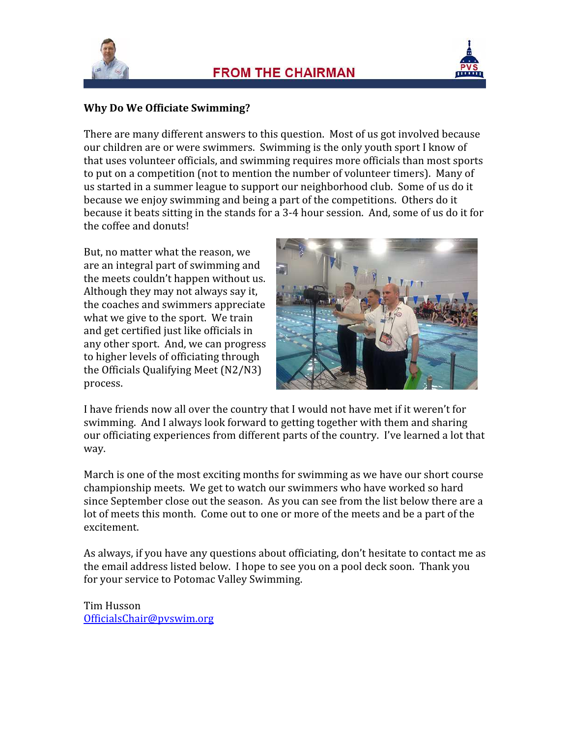



#### Why Do We Officiate Swimming?

There are many different answers to this question. Most of us got involved because our children are or were swimmers. Swimming is the only youth sport I know of that uses volunteer officials, and swimming requires more officials than most sports to put on a competition (not to mention the number of volunteer timers). Many of us started in a summer league to support our neighborhood club. Some of us do it because we enjoy swimming and being a part of the competitions. Others do it because it beats sitting in the stands for a 3-4 hour session. And, some of us do it for the coffee and donuts!

But, no matter what the reason, we are an integral part of swimming and the meets couldn't happen without us. Although they may not always say it, the coaches and swimmers appreciate what we give to the sport. We train and get certified just like officials in any other sport. And, we can progress to higher levels of officiating through the Officials Qualifying Meet (N2/N3) process.



I have friends now all over the country that I would not have met if it weren't for swimming. And I always look forward to getting together with them and sharing our officiating experiences from different parts of the country. I've learned a lot that way.

March is one of the most exciting months for swimming as we have our short course championship meets. We get to watch our swimmers who have worked so hard since September close out the season. As you can see from the list below there are a lot of meets this month. Come out to one or more of the meets and be a part of the excitement.

As always, if you have any questions about officiating, don't hesitate to contact me as the email address listed below. I hope to see you on a pool deck soon. Thank you for your service to Potomac Valley Swimming.

Tim Husson OfficialsChair@pvswim.org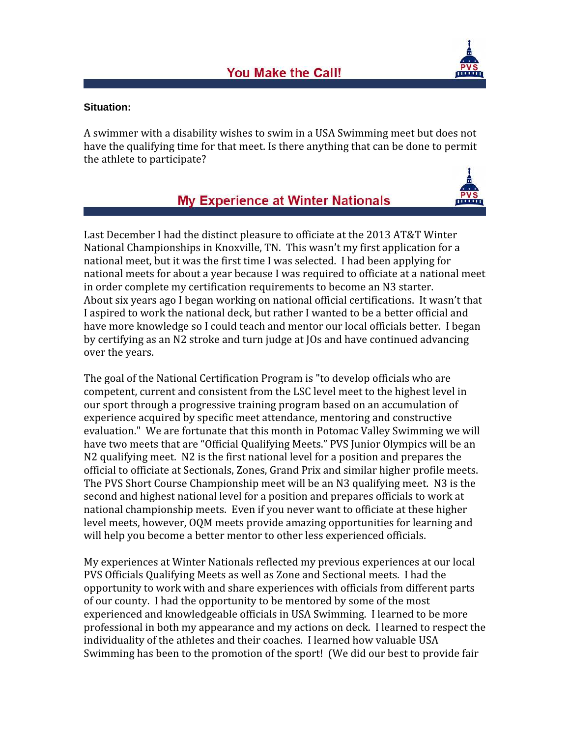

#### **Situation:**

A swimmer with a disability wishes to swim in a USA Swimming meet but does not have the qualifying time for that meet. Is there anything that can be done to permit the athlete to participate?

#### **My Experience at Winter Nationals**



Last December I had the distinct pleasure to officiate at the 2013 AT&T Winter National Championships in Knoxville, TN. This wasn't my first application for a national meet, but it was the first time I was selected. I had been applying for national meets for about a year because I was required to officiate at a national meet in order complete my certification requirements to become an N3 starter. About six years ago I began working on national official certifications. It wasn't that I aspired to work the national deck, but rather I wanted to be a better official and have more knowledge so I could teach and mentor our local officials better. I began by certifying as an N2 stroke and turn judge at JOs and have continued advancing over the years.

The goal of the National Certification Program is "to develop officials who are competent, current and consistent from the LSC level meet to the highest level in our sport through a progressive training program based on an accumulation of experience acquired by specific meet attendance, mentoring and constructive evaluation." We are fortunate that this month in Potomac Valley Swimming we will have two meets that are "Official Qualifying Meets." PVS Junior Olympics will be an N2 qualifying meet. N2 is the first national level for a position and prepares the official to officiate at Sectionals, Zones, Grand Prix and similar higher profile meets. The PVS Short Course Championship meet will be an N3 qualifying meet. N3 is the second and highest national level for a position and prepares officials to work at national championship meets. Even if you never want to officiate at these higher level meets, however, OQM meets provide amazing opportunities for learning and will help you become a better mentor to other less experienced officials.

My experiences at Winter Nationals reflected my previous experiences at our local PVS Officials Qualifying Meets as well as Zone and Sectional meets. I had the opportunity to work with and share experiences with officials from different parts of our county. I had the opportunity to be mentored by some of the most experienced and knowledgeable officials in USA Swimming. I learned to be more professional in both my appearance and my actions on deck. I learned to respect the individuality of the athletes and their coaches. I learned how valuable USA Swimming has been to the promotion of the sport! (We did our best to provide fair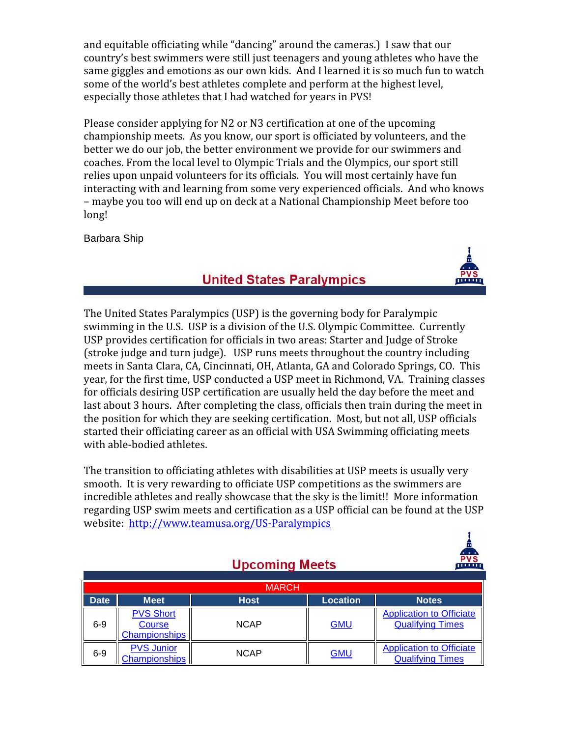and equitable officiating while "dancing" around the cameras.) I saw that our country's best swimmers were still just teenagers and young athletes who have the same giggles and emotions as our own kids. And I learned it is so much fun to watch some of the world's best athletes complete and perform at the highest level, especially those athletes that I had watched for years in PVS!

Please consider applying for N2 or N3 certification at one of the upcoming championship meets. As you know, our sport is officiated by volunteers, and the better we do our job, the better environment we provide for our swimmers and coaches. From the local level to Olympic Trials and the Olympics, our sport still relies upon unpaid volunteers for its officials. You will most certainly have fun interacting with and learning from some very experienced officials. And who knows – maybe you too will end up on deck at a National Championship Meet before too long!

Barbara Ship

## **United States Paralympics**

The United States Paralympics (USP) is the governing body for Paralympic swimming in the U.S. USP is a division of the U.S. Olympic Committee. Currently USP provides certification for officials in two areas: Starter and Judge of Stroke (stroke judge and turn judge). USP runs meets throughout the country including meets in Santa Clara, CA, Cincinnati, OH, Atlanta, GA and Colorado Springs, CO. This year, for the first time, USP conducted a USP meet in Richmond, VA. Training classes for officials desiring USP certification are usually held the day before the meet and last about 3 hours. After completing the class, officials then train during the meet in the position for which they are seeking certification. Most, but not all, USP officials started their officiating career as an official with USA Swimming officiating meets with able-bodied athletes.

The transition to officiating athletes with disabilities at USP meets is usually very smooth. It is very rewarding to officiate USP competitions as the swimmers are incredible athletes and really showcase that the sky is the limit!! More information regarding USP swim meets and certification as a USP official can be found at the USP website: http://www.teamusa.org/US-Paralympics



### **Upcoming Meets**

| <b>MARCH</b> |                                             |             |                 |                                                            |  |  |  |
|--------------|---------------------------------------------|-------------|-----------------|------------------------------------------------------------|--|--|--|
| <b>Date</b>  | <b>Meet</b>                                 | <b>Host</b> | <b>Location</b> | <b>Notes</b>                                               |  |  |  |
| $6-9$        | <b>PVS Short</b><br>Course<br>Championships | <b>NCAP</b> | <b>GMU</b>      | <b>Application to Officiate</b><br><b>Qualifying Times</b> |  |  |  |
| $6-9$        | <b>PVS Junior</b><br>Championships          | <b>NCAP</b> | <b>GMU</b>      | <b>Application to Officiate</b><br><b>Qualifying Times</b> |  |  |  |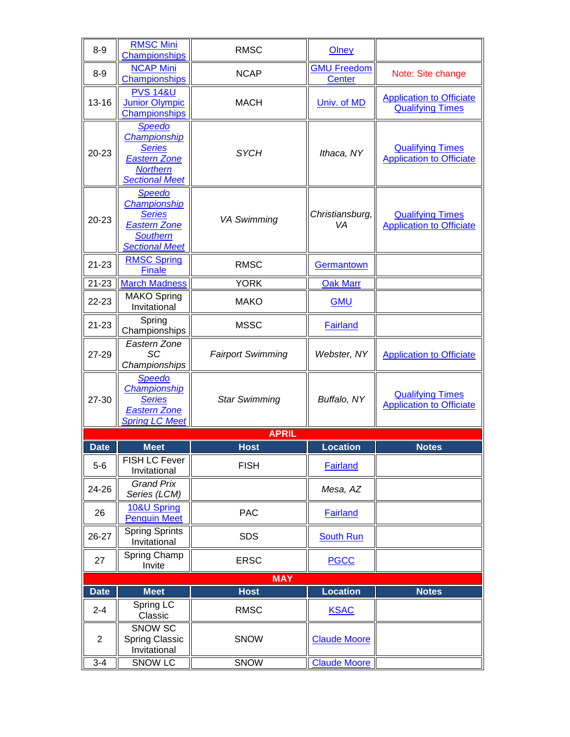| $8-9$          | <b>RMSC Mini</b><br><b>Championships</b>                                                                          | <b>RMSC</b>              | Olney                               |                                                            |  |  |  |
|----------------|-------------------------------------------------------------------------------------------------------------------|--------------------------|-------------------------------------|------------------------------------------------------------|--|--|--|
| $8-9$          | <b>NCAP Mini</b><br><b>Championships</b>                                                                          | <b>NCAP</b>              | <b>GMU Freedom</b><br><b>Center</b> | Note: Site change                                          |  |  |  |
| $13 - 16$      | <b>PVS 14&amp;U</b><br><b>Junior Olympic</b><br>Championships                                                     | <b>MACH</b>              | Univ. of MD                         | <b>Application to Officiate</b><br><b>Qualifying Times</b> |  |  |  |
| 20-23          | <b>Speedo</b><br>Championship<br><b>Series</b><br><b>Eastern Zone</b><br><b>Northern</b><br><b>Sectional Meet</b> | <b>SYCH</b>              | Ithaca, NY                          | <b>Qualifying Times</b><br><b>Application to Officiate</b> |  |  |  |
| 20-23          | <b>Speedo</b><br>Championship<br><b>Series</b><br><b>Eastern Zone</b><br><b>Southern</b><br><b>Sectional Meet</b> | <b>VA Swimming</b>       | Christiansburg,<br>VA               | <b>Qualifying Times</b><br><b>Application to Officiate</b> |  |  |  |
| $21 - 23$      | <b>RMSC Spring</b><br><b>Finale</b>                                                                               | <b>RMSC</b>              | Germantown                          |                                                            |  |  |  |
| $21 - 23$      | <b>March Madness</b>                                                                                              | <b>YORK</b>              | <b>Oak Marr</b>                     |                                                            |  |  |  |
| 22-23          | <b>MAKO Spring</b><br>Invitational                                                                                | <b>MAKO</b>              | <b>GMU</b>                          |                                                            |  |  |  |
| $21 - 23$      | Spring<br>Championships                                                                                           | <b>MSSC</b>              | <b>Fairland</b>                     |                                                            |  |  |  |
| 27-29          | Eastern Zone<br><b>SC</b><br>Championships                                                                        | <b>Fairport Swimming</b> | Webster, NY                         | <b>Application to Officiate</b>                            |  |  |  |
| 27-30          | <b>Speedo</b><br>Championship<br><b>Series</b><br><b>Eastern Zone</b><br><b>Spring LC Meet</b>                    | <b>Star Swimming</b>     | Buffalo, NY                         | <b>Qualifying Times</b><br><b>Application to Officiate</b> |  |  |  |
|                |                                                                                                                   | <b>APRIL</b>             |                                     |                                                            |  |  |  |
| <b>Date</b>    | <b>Meet</b>                                                                                                       | <b>Host</b>              | <b>Location</b>                     | <b>Notes</b>                                               |  |  |  |
| $5-6$          | FISH LC Fever<br>Invitational                                                                                     | <b>FISH</b>              | <b>Fairland</b>                     |                                                            |  |  |  |
| 24-26          | <b>Grand Prix</b><br>Series (LCM)                                                                                 |                          | Mesa, AZ                            |                                                            |  |  |  |
| 26             | 10&U Spring<br><b>Penguin Meet</b>                                                                                | <b>PAC</b>               | <b>Fairland</b>                     |                                                            |  |  |  |
| 26-27          | <b>Spring Sprints</b><br>Invitational                                                                             | <b>SDS</b>               | <b>South Run</b>                    |                                                            |  |  |  |
| 27             | Spring Champ<br>Invite                                                                                            | <b>ERSC</b>              | <b>PGCC</b>                         |                                                            |  |  |  |
| <b>MAY</b>     |                                                                                                                   |                          |                                     |                                                            |  |  |  |
| <b>Date</b>    | <b>Meet</b>                                                                                                       | <b>Host</b>              | <b>Location</b>                     | <b>Notes</b>                                               |  |  |  |
| $2 - 4$        | Spring LC<br>Classic                                                                                              | <b>RMSC</b>              | <b>KSAC</b>                         |                                                            |  |  |  |
| $\overline{2}$ | SNOW SC<br><b>Spring Classic</b><br>Invitational                                                                  | <b>SNOW</b>              | <b>Claude Moore</b>                 |                                                            |  |  |  |
| $3 - 4$        | <b>SNOW LC</b>                                                                                                    | <b>SNOW</b>              | <b>Claude Moore</b>                 |                                                            |  |  |  |